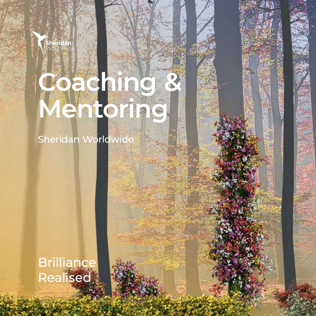

# **Coaching & Mentoring**

Sheridan Worldwide

Brilliance Realised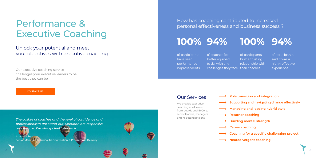We provide executive coaching at all levels from boards and ExCo, to senior leaders, managers and hi-potential talent.

Our executive coaching service challenges your executive leaders to be the best they can be.

### Our Services

How has coaching contributed to increased personal effectiveness and business success ?

- **Role transition and integration**
- **Supporting and navigating change effectively**
- **Managing and leading hybrid style**
- **Returner coaching**
- **Building mental strength**
- **Career coaching**
- **Coaching for a specific challenging project**
- **Neurodivergent coaching**











of participants have seen performance improvements of coaches feel better equiped to dal with any challenges they face their coaches

of participants

built a trusting

relationship with of participants said it was a highly effective experience

## Performance & Executive Coaching

Unlock your potential and meet your objectives with executive coaching

*The calibre of coaches and the level of confidence and professionalism are stand-out. Sheridan are responsive and flexible. We always feel listened to.*



Senior Manager, Learning Transformation & Programme Delivery





CONTACT US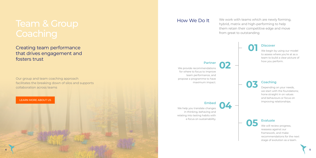Our group and team coaching approach facilitates the breaking down of silos and supports collaboration across teams

## Team & Group **Coaching**

Creating team performance that drives engagement and fosters trust

How We Do It We work with teams which are newly forming, hybrid, matrix and high-performing to help them retain their competitive edge and move from great to outstanding

### **Partner**

We will review progress, reassess against our framework, and make recommendations for the next stage of evolution as a team.

We provide recommendations for where to focus to improve team performance, and propose a programme to have maximum impact.

**02**

### **Embed**

We help you translate changes in thinking, behaving and relating into lasting habits with a focus on sustainability.

**04**

**Evaluate 05**

### **Coaching 03**

Depending on your needs, we start with the foundations; hone straight in on values and behaviours or focus on improving relationships.

**Discover** We begin by using our model

to assess where you're at as a team to build a clear picture of how you perform.

**01**



LEARN MORE ABOUT US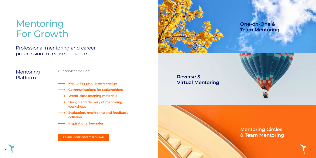Mentoring Platform

Our services include:

- **Mentoring programme design**
- **Communications for stakeholders**
- **World-class learning materials**
- **Design and delivery of mentoring workshops**
- **Evaluation, monitoring and feedback collation**
- **Inspirational keynotes**

## **Reverse & Virtual Mentoring**



## Mentoring For Growth

Professional mentoring and career progression to realise brilliance

LEARN MORE ABOUT PUSHFAR

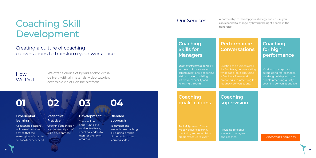## How We Do It

We offer a choice of hybrid and/or virtual delivery with all materials, video tutorials accessible via our online platform



### **Experiential learning**

All coaching sessions will be real, not roleplay, so that the learning benefit can be personally experienced.

### **Reflective Practice**

Coaching supervision is an essential part of skills development.

### **Development**

There will be opportunities to receive feedback, enabling leaders to monitor their own progress.



### **Blended approach**

To develop and embed core coaching skills using a range of methods to meet learning styles.



## Coaching Skill Development

## Creating a culture of coaching conversations to transform your workplace

### Our Services

Providing reflective space for managers and coaches.

**Coaching supervision**

An ILM Approved Centre, we can deliver coaching, mentoring and supervision programmes up to level 7.

## **Coaching qualifications**

 Option to incorporate actors using real scenarios we design with you to get people practising quality coaching conversations live.

## **Coaching for high performance**

Creating the business case for feedback, understanding what good looks like, using a feedback framework, preparing and practising for feedback conversations.

### **Performance Conversations**

Short programmes to upskill in the art of conversation, asking questions, deepening ability to listen, building reflective capability and following through.

## **Coaching Skills for Managers**

A partnership to develop your strategy and ensure you can respond to change by having the right people in the right roles.



### VIEW OTHER SERVICES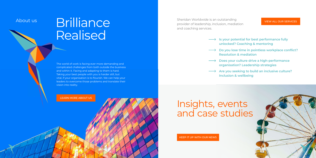## About us Brilliance **Realised**

The world of work is facing ever more demanding and complicated challenges from both outside the business and within it. Facing and adapting to them is hard. Taking your best people with you is harder still, but vital, if your organisation is to flourish. We can help your leaders to overcome those problems and translate their vision into reality. <del>LEARN MORE ABOUT US</del><br>
LEARN MORE ABOUT US<br>
ABOUT US ON THE MANUSON CONTROL CONTROL CONTROL CONTROL CONTROL CONTROL CONTROL CONTROL CONTROL CONTROL CONTROL CONTROL CONTROL CONTROL CONTROL CONTROL CONTROL CONTROL CONTROL C

## Insights, events and case studies

- **Is your potential for best performance fully unlocked? Coaching & mentoring**
- **Do you lose time in pointless workplace conflict? Resolution & mediation**
- **Does your culture drive a high-performance organisation? Leadership strategies**
- **Are you seeking to build an inclusive culture? Inclusion & wellbeing**

Sheridan Worldwide is an outstanding provider of leadership, inclusion, mediation and coaching services.

**10 11**

KEEP IT UP WITH OUR NEWS